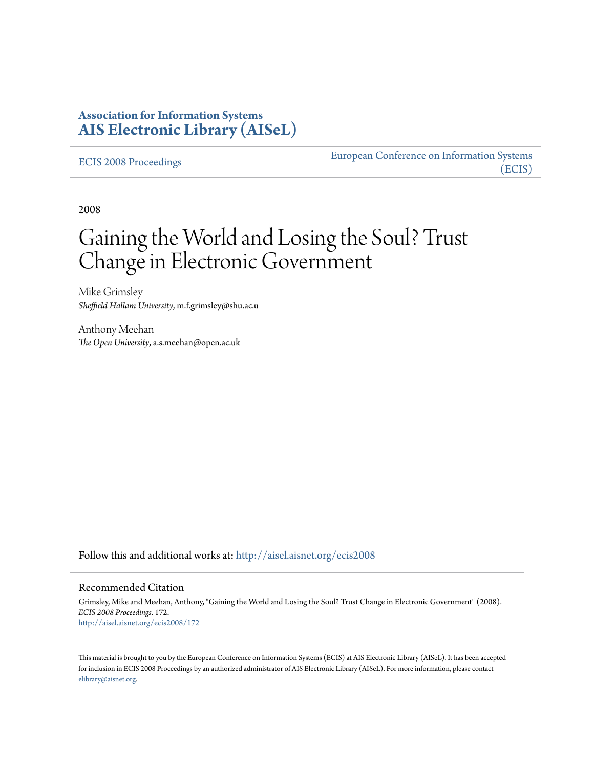### **Association for Information Systems [AIS Electronic Library \(AISeL\)](http://aisel.aisnet.org?utm_source=aisel.aisnet.org%2Fecis2008%2F172&utm_medium=PDF&utm_campaign=PDFCoverPages)**

[ECIS 2008 Proceedings](http://aisel.aisnet.org/ecis2008?utm_source=aisel.aisnet.org%2Fecis2008%2F172&utm_medium=PDF&utm_campaign=PDFCoverPages)

[European Conference on Information Systems](http://aisel.aisnet.org/ecis?utm_source=aisel.aisnet.org%2Fecis2008%2F172&utm_medium=PDF&utm_campaign=PDFCoverPages) [\(ECIS\)](http://aisel.aisnet.org/ecis?utm_source=aisel.aisnet.org%2Fecis2008%2F172&utm_medium=PDF&utm_campaign=PDFCoverPages)

2008

# Gaining the World and Losing the Soul? Trust Change in Electronic Government

Mike Grimsley *Sheffield Hallam University*, m.f.grimsley@shu.ac.u

Anthony Meehan *The Open University*, a.s.meehan@open.ac.uk

Follow this and additional works at: [http://aisel.aisnet.org/ecis2008](http://aisel.aisnet.org/ecis2008?utm_source=aisel.aisnet.org%2Fecis2008%2F172&utm_medium=PDF&utm_campaign=PDFCoverPages)

#### Recommended Citation

Grimsley, Mike and Meehan, Anthony, "Gaining the World and Losing the Soul? Trust Change in Electronic Government" (2008). *ECIS 2008 Proceedings*. 172. [http://aisel.aisnet.org/ecis2008/172](http://aisel.aisnet.org/ecis2008/172?utm_source=aisel.aisnet.org%2Fecis2008%2F172&utm_medium=PDF&utm_campaign=PDFCoverPages)

This material is brought to you by the European Conference on Information Systems (ECIS) at AIS Electronic Library (AISeL). It has been accepted for inclusion in ECIS 2008 Proceedings by an authorized administrator of AIS Electronic Library (AISeL). For more information, please contact [elibrary@aisnet.org.](mailto:elibrary@aisnet.org%3E)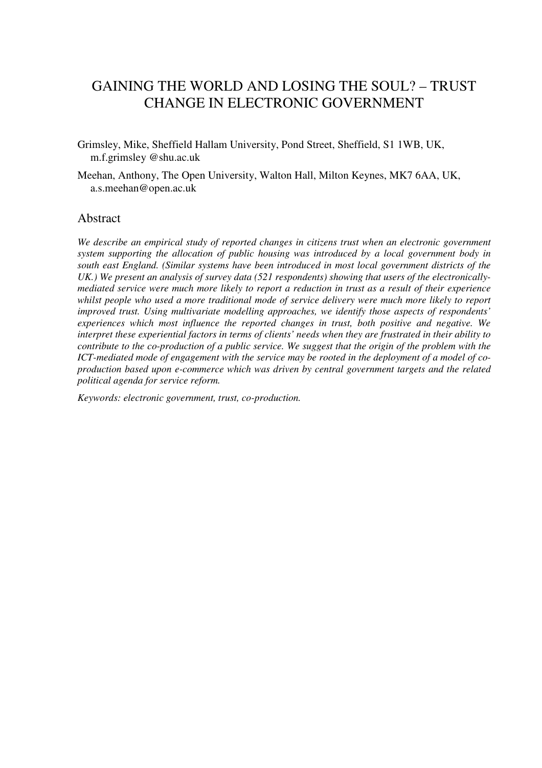# GAINING THE WORLD AND LOSING THE SOUL? – TRUST CHANGE IN ELECTRONIC GOVERNMENT

- Grimsley, Mike, Sheffield Hallam University, Pond Street, Sheffield, S1 1WB, UK, m.f.grimsley @shu.ac.uk
- Meehan, Anthony, The Open University, Walton Hall, Milton Keynes, MK7 6AA, UK, a.s.meehan@open.ac.uk

#### Abstract

*We describe an empirical study of reported changes in citizens trust when an electronic government system supporting the allocation of public housing was introduced by a local government body in south east England. (Similar systems have been introduced in most local government districts of the UK.) We present an analysis of survey data (521 respondents) showing that users of the electronicallymediated service were much more likely to report a reduction in trust as a result of their experience whilst people who used a more traditional mode of service delivery were much more likely to report improved trust. Using multivariate modelling approaches, we identify those aspects of respondents' experiences which most influence the reported changes in trust, both positive and negative. We interpret these experiential factors in terms of clients' needs when they are frustrated in their ability to contribute to the co-production of a public service. We suggest that the origin of the problem with the ICT-mediated mode of engagement with the service may be rooted in the deployment of a model of coproduction based upon e-commerce which was driven by central government targets and the related political agenda for service reform.*

*Keywords: electronic government, trust, co-production.*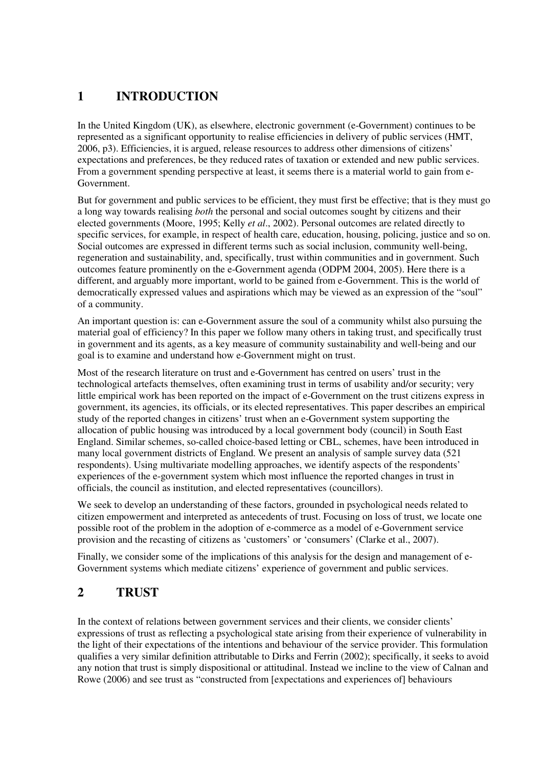# **1 INTRODUCTION**

In the United Kingdom (UK), as elsewhere, electronic government (e-Government) continues to be represented as a significant opportunity to realise efficiencies in delivery of public services (HMT, 2006, p3). Efficiencies, it is argued, release resources to address other dimensions of citizens' expectations and preferences, be they reduced rates of taxation or extended and new public services. From a government spending perspective at least, it seems there is a material world to gain from e-Government.

But for government and public services to be efficient, they must first be effective; that is they must go a long way towards realising *both* the personal and social outcomes sought by citizens and their elected governments (Moore, 1995; Kelly *et al*., 2002). Personal outcomes are related directly to specific services, for example, in respect of health care, education, housing, policing, justice and so on. Social outcomes are expressed in different terms such as social inclusion, community well-being, regeneration and sustainability, and, specifically, trust within communities and in government. Such outcomes feature prominently on the e-Government agenda (ODPM 2004, 2005). Here there is a different, and arguably more important, world to be gained from e-Government. This is the world of democratically expressed values and aspirations which may be viewed as an expression of the "soul" of a community.

An important question is: can e-Government assure the soul of a community whilst also pursuing the material goal of efficiency? In this paper we follow many others in taking trust, and specifically trust in government and its agents, as a key measure of community sustainability and well-being and our goal is to examine and understand how e-Government might on trust.

Most of the research literature on trust and e-Government has centred on users' trust in the technological artefacts themselves, often examining trust in terms of usability and/or security; very little empirical work has been reported on the impact of e-Government on the trust citizens express in government, its agencies, its officials, or its elected representatives. This paper describes an empirical study of the reported changes in citizens' trust when an e-Government system supporting the allocation of public housing was introduced by a local government body (council) in South East England. Similar schemes, so-called choice-based letting or CBL, schemes, have been introduced in many local government districts of England. We present an analysis of sample survey data (521 respondents). Using multivariate modelling approaches, we identify aspects of the respondents' experiences of the e-government system which most influence the reported changes in trust in officials, the council as institution, and elected representatives (councillors).

We seek to develop an understanding of these factors, grounded in psychological needs related to citizen empowerment and interpreted as antecedents of trust. Focusing on loss of trust, we locate one possible root of the problem in the adoption of e-commerce as a model of e-Government service provision and the recasting of citizens as 'customers' or 'consumers' (Clarke et al., 2007).

Finally, we consider some of the implications of this analysis for the design and management of e-Government systems which mediate citizens' experience of government and public services.

## **2 TRUST**

In the context of relations between government services and their clients, we consider clients' expressions of trust as reflecting a psychological state arising from their experience of vulnerability in the light of their expectations of the intentions and behaviour of the service provider. This formulation qualifies a very similar definition attributable to Dirks and Ferrin (2002); specifically, it seeks to avoid any notion that trust is simply dispositional or attitudinal. Instead we incline to the view of Calnan and Rowe (2006) and see trust as "constructed from [expectations and experiences of] behaviours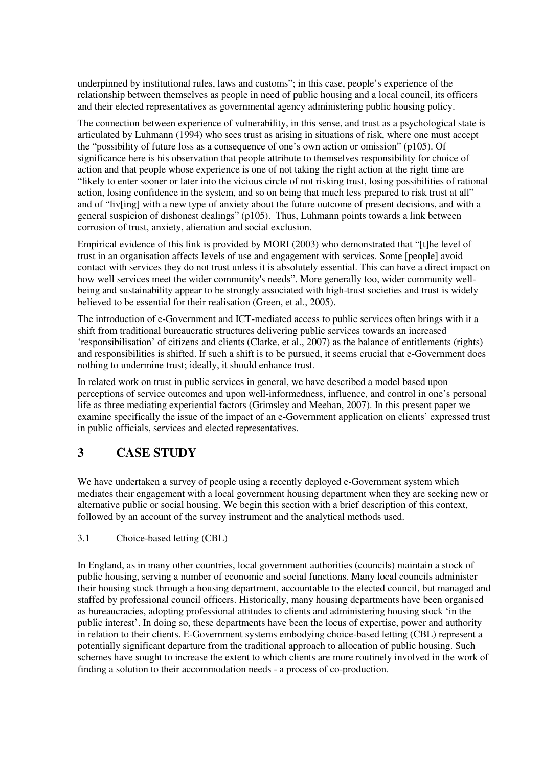underpinned by institutional rules, laws and customs"; in this case, people's experience of the relationship between themselves as people in need of public housing and a local council, its officers and their elected representatives as governmental agency administering public housing policy.

The connection between experience of vulnerability, in this sense, and trust as a psychological state is articulated by Luhmann (1994) who sees trust as arising in situations of risk, where one must accept the "possibility of future loss as a consequence of one's own action or omission" (p105). Of significance here is his observation that people attribute to themselves responsibility for choice of action and that people whose experience is one of not taking the right action at the right time are "likely to enter sooner or later into the vicious circle of not risking trust, losing possibilities of rational action, losing confidence in the system, and so on being that much less prepared to risk trust at all" and of "liv[ing] with a new type of anxiety about the future outcome of present decisions, and with a general suspicion of dishonest dealings" (p105). Thus, Luhmann points towards a link between corrosion of trust, anxiety, alienation and social exclusion.

Empirical evidence of this link is provided by MORI (2003) who demonstrated that "[t]he level of trust in an organisation affects levels of use and engagement with services. Some [people] avoid contact with services they do not trust unless it is absolutely essential. This can have a direct impact on how well services meet the wider community's needs". More generally too, wider community wellbeing and sustainability appear to be strongly associated with high-trust societies and trust is widely believed to be essential for their realisation (Green, et al., 2005).

The introduction of e-Government and ICT-mediated access to public services often brings with it a shift from traditional bureaucratic structures delivering public services towards an increased 'responsibilisation' of citizens and clients (Clarke, et al., 2007) as the balance of entitlements (rights) and responsibilities is shifted. If such a shift is to be pursued, it seems crucial that e-Government does nothing to undermine trust; ideally, it should enhance trust.

In related work on trust in public services in general, we have described a model based upon perceptions of service outcomes and upon well-informedness, influence, and control in one's personal life as three mediating experiential factors (Grimsley and Meehan, 2007). In this present paper we examine specifically the issue of the impact of an e-Government application on clients' expressed trust in public officials, services and elected representatives.

## **3 CASE STUDY**

We have undertaken a survey of people using a recently deployed e-Government system which mediates their engagement with a local government housing department when they are seeking new or alternative public or social housing. We begin this section with a brief description of this context, followed by an account of the survey instrument and the analytical methods used.

### 3.1 Choice-based letting (CBL)

In England, as in many other countries, local government authorities (councils) maintain a stock of public housing, serving a number of economic and social functions. Many local councils administer their housing stock through a housing department, accountable to the elected council, but managed and staffed by professional council officers. Historically, many housing departments have been organised as bureaucracies, adopting professional attitudes to clients and administering housing stock 'in the public interest'. In doing so, these departments have been the locus of expertise, power and authority in relation to their clients. E-Government systems embodying choice-based letting (CBL) represent a potentially significant departure from the traditional approach to allocation of public housing. Such schemes have sought to increase the extent to which clients are more routinely involved in the work of finding a solution to their accommodation needs - a process of co-production.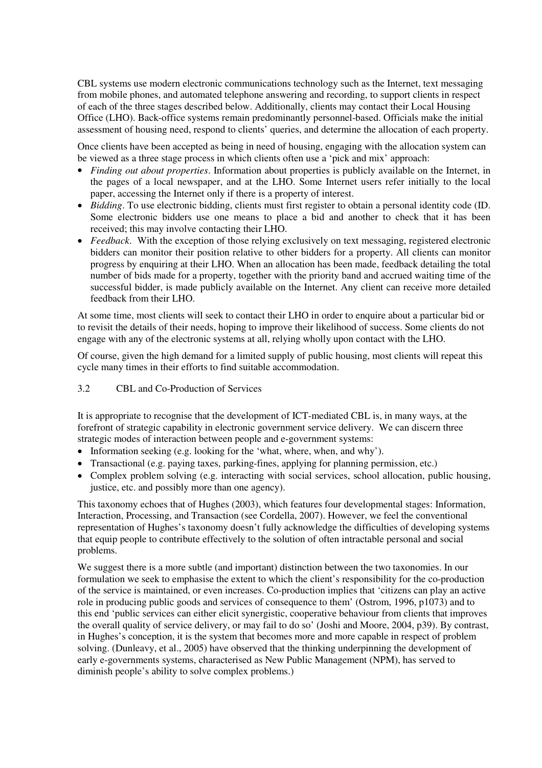CBL systems use modern electronic communications technology such as the Internet, text messaging from mobile phones, and automated telephone answering and recording, to support clients in respect of each of the three stages described below. Additionally, clients may contact their Local Housing Office (LHO). Back-office systems remain predominantly personnel-based. Officials make the initial assessment of housing need, respond to clients' queries, and determine the allocation of each property.

Once clients have been accepted as being in need of housing, engaging with the allocation system can be viewed as a three stage process in which clients often use a 'pick and mix' approach:

- *Finding out about properties*. Information about properties is publicly available on the Internet, in the pages of a local newspaper, and at the LHO. Some Internet users refer initially to the local paper, accessing the Internet only if there is a property of interest.
- *Bidding*. To use electronic bidding, clients must first register to obtain a personal identity code (ID. Some electronic bidders use one means to place a bid and another to check that it has been received; this may involve contacting their LHO.
- *Feedback*. With the exception of those relying exclusively on text messaging, registered electronic bidders can monitor their position relative to other bidders for a property. All clients can monitor progress by enquiring at their LHO. When an allocation has been made, feedback detailing the total number of bids made for a property, together with the priority band and accrued waiting time of the successful bidder, is made publicly available on the Internet. Any client can receive more detailed feedback from their LHO.

At some time, most clients will seek to contact their LHO in order to enquire about a particular bid or to revisit the details of their needs, hoping to improve their likelihood of success. Some clients do not engage with any of the electronic systems at all, relying wholly upon contact with the LHO.

Of course, given the high demand for a limited supply of public housing, most clients will repeat this cycle many times in their efforts to find suitable accommodation.

#### 3.2 CBL and Co-Production of Services

It is appropriate to recognise that the development of ICT-mediated CBL is, in many ways, at the forefront of strategic capability in electronic government service delivery. We can discern three strategic modes of interaction between people and e-government systems:

- Information seeking (e.g. looking for the 'what, where, when, and why').
- Transactional (e.g. paying taxes, parking-fines, applying for planning permission, etc.)
- Complex problem solving (e.g. interacting with social services, school allocation, public housing, justice, etc. and possibly more than one agency).

This taxonomy echoes that of Hughes (2003), which features four developmental stages: Information, Interaction, Processing, and Transaction (see Cordella, 2007). However, we feel the conventional representation of Hughes's taxonomy doesn't fully acknowledge the difficulties of developing systems that equip people to contribute effectively to the solution of often intractable personal and social problems.

We suggest there is a more subtle (and important) distinction between the two taxonomies. In our formulation we seek to emphasise the extent to which the client's responsibility for the co-production of the service is maintained, or even increases. Co-production implies that 'citizens can play an active role in producing public goods and services of consequence to them' (Ostrom, 1996, p1073) and to this end 'public services can either elicit synergistic, cooperative behaviour from clients that improves the overall quality of service delivery, or may fail to do so' (Joshi and Moore, 2004, p39). By contrast, in Hughes's conception, it is the system that becomes more and more capable in respect of problem solving. (Dunleavy, et al., 2005) have observed that the thinking underpinning the development of early e-governments systems, characterised as New Public Management (NPM), has served to diminish people's ability to solve complex problems.)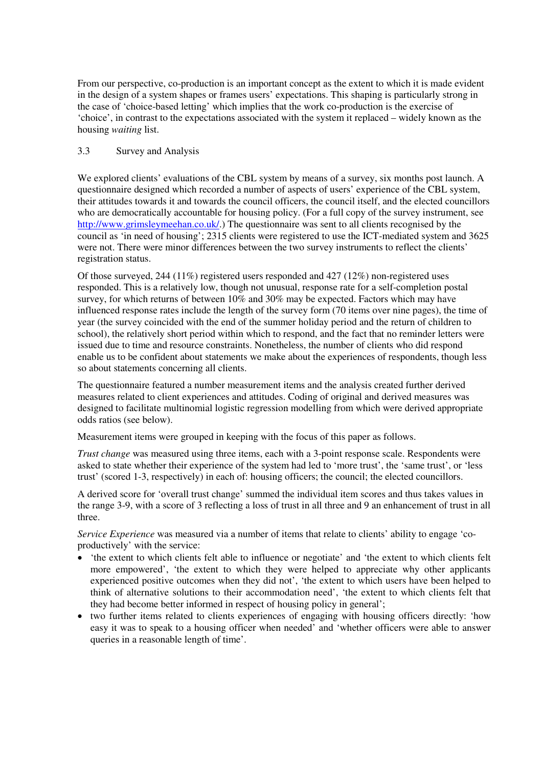From our perspective, co-production is an important concept as the extent to which it is made evident in the design of a system shapes or frames users' expectations. This shaping is particularly strong in the case of 'choice-based letting' which implies that the work co-production is the exercise of 'choice', in contrast to the expectations associated with the system it replaced – widely known as the housing *waiting* list.

#### 3.3 Survey and Analysis

We explored clients' evaluations of the CBL system by means of a survey, six months post launch. A questionnaire designed which recorded a number of aspects of users' experience of the CBL system, their attitudes towards it and towards the council officers, the council itself, and the elected councillors who are democratically accountable for housing policy. (For a full copy of the survey instrument, see <http://www.grimsleymeehan.co.uk/>.) The questionnaire was sent to all clients recognised by the council as 'in need of housing'; 2315 clients were registered to use the ICT-mediated system and 3625 were not. There were minor differences between the two survey instruments to reflect the clients' registration status.

Of those surveyed, 244 (11%) registered users responded and 427 (12%) non-registered uses responded. This is a relatively low, though not unusual, response rate for a self-completion postal survey, for which returns of between 10% and 30% may be expected. Factors which may have influenced response rates include the length of the survey form (70 items over nine pages), the time of year (the survey coincided with the end of the summer holiday period and the return of children to school), the relatively short period within which to respond, and the fact that no reminder letters were issued due to time and resource constraints. Nonetheless, the number of clients who did respond enable us to be confident about statements we make about the experiences of respondents, though less so about statements concerning all clients.

The questionnaire featured a number measurement items and the analysis created further derived measures related to client experiences and attitudes. Coding of original and derived measures was designed to facilitate multinomial logistic regression modelling from which were derived appropriate odds ratios (see below).

Measurement items were grouped in keeping with the focus of this paper as follows.

*Trust change* was measured using three items, each with a 3-point response scale. Respondents were asked to state whether their experience of the system had led to 'more trust', the 'same trust', or 'less trust' (scored 1-3, respectively) in each of: housing officers; the council; the elected councillors.

A derived score for 'overall trust change' summed the individual item scores and thus takes values in the range 3-9, with a score of 3 reflecting a loss of trust in all three and 9 an enhancement of trust in all three.

*Service Experience* was measured via a number of items that relate to clients' ability to engage 'coproductively' with the service:

- 'the extent to which clients felt able to influence or negotiate' and 'the extent to which clients felt more empowered', 'the extent to which they were helped to appreciate why other applicants experienced positive outcomes when they did not', 'the extent to which users have been helped to think of alternative solutions to their accommodation need', 'the extent to which clients felt that they had become better informed in respect of housing policy in general';
- two further items related to clients experiences of engaging with housing officers directly: 'how easy it was to speak to a housing officer when needed' and 'whether officers were able to answer queries in a reasonable length of time'.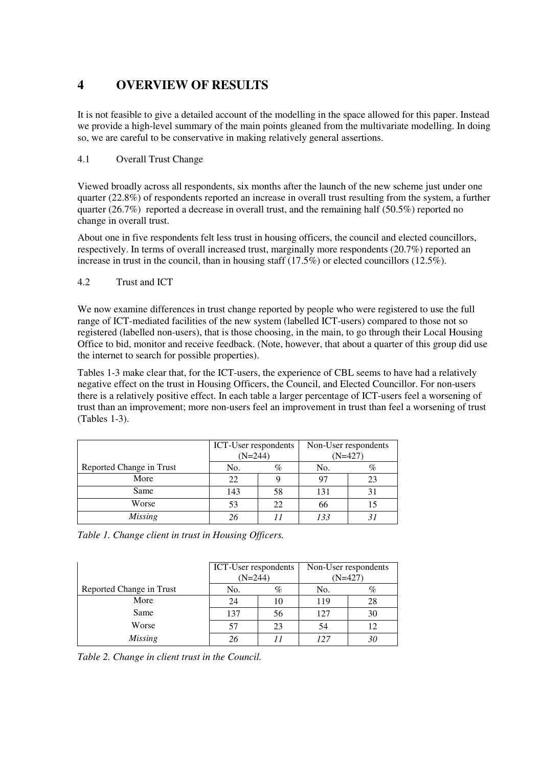# **4 OVERVIEW OF RESULTS**

It is not feasible to give a detailed account of the modelling in the space allowed for this paper. Instead we provide a high-level summary of the main points gleaned from the multivariate modelling. In doing so, we are careful to be conservative in making relatively general assertions.

### 4.1 Overall Trust Change

Viewed broadly across all respondents, six months after the launch of the new scheme just under one quarter (22.8%) of respondents reported an increase in overall trust resulting from the system, a further quarter (26.7%) reported a decrease in overall trust, and the remaining half (50.5%) reported no change in overall trust.

About one in five respondents felt less trust in housing officers, the council and elected councillors, respectively. In terms of overall increased trust, marginally more respondents (20.7%) reported an increase in trust in the council, than in housing staff  $(17.5\%)$  or elected councillors  $(12.5\%)$ .

#### 4.2 Trust and ICT

We now examine differences in trust change reported by people who were registered to use the full range of ICT-mediated facilities of the new system (labelled ICT-users) compared to those not so registered (labelled non-users), that is those choosing, in the main, to go through their Local Housing Office to bid, monitor and receive feedback. (Note, however, that about a quarter of this group did use the internet to search for possible properties).

Tables 1-3 make clear that, for the ICT-users, the experience of CBL seems to have had a relatively negative effect on the trust in Housing Officers, the Council, and Elected Councillor. For non-users there is a relatively positive effect. In each table a larger percentage of ICT-users feel a worsening of trust than an improvement; more non-users feel an improvement in trust than feel a worsening of trust (Tables 1-3).

|                          | ICT-User respondents<br>$(N=244)$ |    | Non-User respondents<br>$(N=427)$ |    |
|--------------------------|-----------------------------------|----|-----------------------------------|----|
| Reported Change in Trust | No.                               | %  | No.                               | %  |
| More                     | 22                                |    | 97                                | 23 |
| Same                     | 143                               | 58 | 131                               |    |
| Worse                    | 53                                | 22 | 66                                |    |
| Missing                  | 26                                |    | 133                               |    |

| Table 1. Change client in trust in Housing Officers. |  |  |  |  |  |  |
|------------------------------------------------------|--|--|--|--|--|--|
|------------------------------------------------------|--|--|--|--|--|--|

|                          | ICT-User respondents<br>$(N=244)$ |     | Non-User respondents<br>$(N=427)$ |    |
|--------------------------|-----------------------------------|-----|-----------------------------------|----|
| Reported Change in Trust | No.                               | %   | No.                               | %  |
| More                     | 24                                | 1() | 119                               | 28 |
| Same                     | 137                               | 56  | 127                               | 30 |
| Worse                    | 57                                | 23  | 54                                | 12 |
| Missing                  | 26                                |     | 127                               |    |

*Table 2. Change in client trust in the Council.*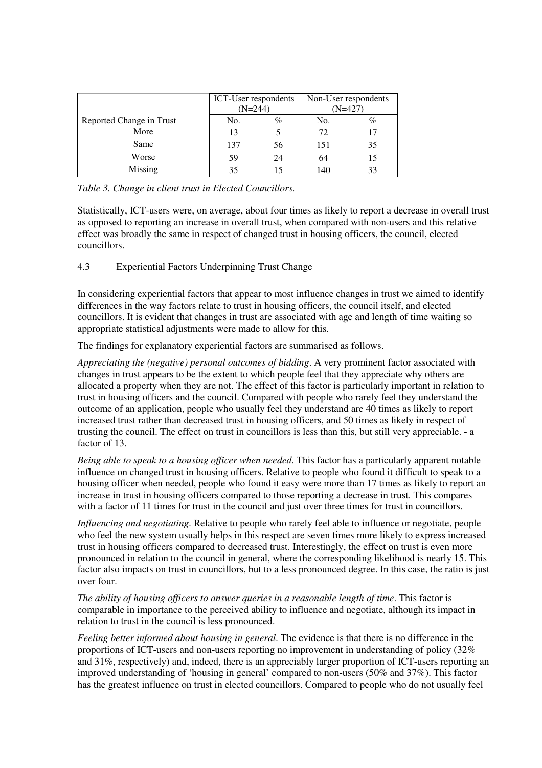|                          | ICT-User respondents<br>$(N=244)$ |    | Non-User respondents<br>$(N=427)$ |      |
|--------------------------|-----------------------------------|----|-----------------------------------|------|
| Reported Change in Trust | No.                               | %  | No.                               | $\%$ |
| More                     | 13                                |    | 72                                |      |
| Same                     | 137                               | 56 | 151                               | 35   |
| Worse                    | 59                                | 24 | 64                                |      |
| Missing                  | 35                                |    | 140                               |      |

*Table 3. Change in client trust in Elected Councillors.*

Statistically, ICT-users were, on average, about four times as likely to report a decrease in overall trust as opposed to reporting an increase in overall trust, when compared with non-users and this relative effect was broadly the same in respect of changed trust in housing officers, the council, elected councillors.

4.3 Experiential Factors Underpinning Trust Change

In considering experiential factors that appear to most influence changes in trust we aimed to identify differences in the way factors relate to trust in housing officers, the council itself, and elected councillors. It is evident that changes in trust are associated with age and length of time waiting so appropriate statistical adjustments were made to allow for this.

The findings for explanatory experiential factors are summarised as follows.

*Appreciating the (negative) personal outcomes of bidding*. A very prominent factor associated with changes in trust appears to be the extent to which people feel that they appreciate why others are allocated a property when they are not. The effect of this factor is particularly important in relation to trust in housing officers and the council. Compared with people who rarely feel they understand the outcome of an application, people who usually feel they understand are 40 times as likely to report increased trust rather than decreased trust in housing officers, and 50 times as likely in respect of trusting the council. The effect on trust in councillors is less than this, but still very appreciable. - a factor of 13.

*Being able to speak to a housing officer when needed*. This factor has a particularly apparent notable influence on changed trust in housing officers. Relative to people who found it difficult to speak to a housing officer when needed, people who found it easy were more than 17 times as likely to report an increase in trust in housing officers compared to those reporting a decrease in trust. This compares with a factor of 11 times for trust in the council and just over three times for trust in councillors.

*Influencing and negotiating*. Relative to people who rarely feel able to influence or negotiate, people who feel the new system usually helps in this respect are seven times more likely to express increased trust in housing officers compared to decreased trust. Interestingly, the effect on trust is even more pronounced in relation to the council in general, where the corresponding likelihood is nearly 15. This factor also impacts on trust in councillors, but to a less pronounced degree. In this case, the ratio is just over four.

*The ability of housing officers to answer queries in a reasonable length of time*. This factor is comparable in importance to the perceived ability to influence and negotiate, although its impact in relation to trust in the council is less pronounced.

*Feeling better informed about housing in general*. The evidence is that there is no difference in the proportions of ICT-users and non-users reporting no improvement in understanding of policy (32% and 31%, respectively) and, indeed, there is an appreciably larger proportion of ICT-users reporting an improved understanding of 'housing in general' compared to non-users (50% and 37%). This factor has the greatest influence on trust in elected councillors. Compared to people who do not usually feel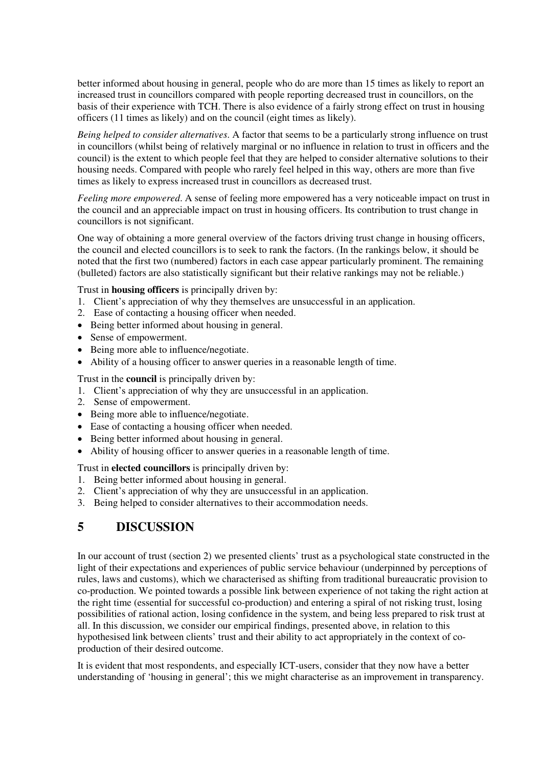better informed about housing in general, people who do are more than 15 times as likely to report an increased trust in councillors compared with people reporting decreased trust in councillors, on the basis of their experience with TCH. There is also evidence of a fairly strong effect on trust in housing officers (11 times as likely) and on the council (eight times as likely).

*Being helped to consider alternatives*. A factor that seems to be a particularly strong influence on trust in councillors (whilst being of relatively marginal or no influence in relation to trust in officers and the council) is the extent to which people feel that they are helped to consider alternative solutions to their housing needs. Compared with people who rarely feel helped in this way, others are more than five times as likely to express increased trust in councillors as decreased trust.

*Feeling more empowered*. A sense of feeling more empowered has a very noticeable impact on trust in the council and an appreciable impact on trust in housing officers. Its contribution to trust change in councillors is not significant.

One way of obtaining a more general overview of the factors driving trust change in housing officers, the council and elected councillors is to seek to rank the factors. (In the rankings below, it should be noted that the first two (numbered) factors in each case appear particularly prominent. The remaining (bulleted) factors are also statistically significant but their relative rankings may not be reliable.)

Trust in **housing officers** is principally driven by:

- 1. Client's appreciation of why they themselves are unsuccessful in an application.
- 2. Ease of contacting a housing officer when needed.
- Being better informed about housing in general.
- Sense of empowerment.
- Being more able to influence/negotiate.
- Ability of a housing officer to answer queries in a reasonable length of time.

Trust in the **council** is principally driven by:

- 1. Client's appreciation of why they are unsuccessful in an application.
- 2. Sense of empowerment.
- Being more able to influence/negotiate.
- Ease of contacting a housing officer when needed.
- Being better informed about housing in general.
- Ability of housing officer to answer queries in a reasonable length of time.

Trust in **elected councillors** is principally driven by:

- 1. Being better informed about housing in general.
- 2. Client's appreciation of why they are unsuccessful in an application.
- 3. Being helped to consider alternatives to their accommodation needs.

### **5 DISCUSSION**

In our account of trust (section 2) we presented clients' trust as a psychological state constructed in the light of their expectations and experiences of public service behaviour (underpinned by perceptions of rules, laws and customs), which we characterised as shifting from traditional bureaucratic provision to co-production. We pointed towards a possible link between experience of not taking the right action at the right time (essential for successful co-production) and entering a spiral of not risking trust, losing possibilities of rational action, losing confidence in the system, and being less prepared to risk trust at all. In this discussion, we consider our empirical findings, presented above, in relation to this hypothesised link between clients' trust and their ability to act appropriately in the context of coproduction of their desired outcome.

It is evident that most respondents, and especially ICT-users, consider that they now have a better understanding of 'housing in general'; this we might characterise as an improvement in transparency.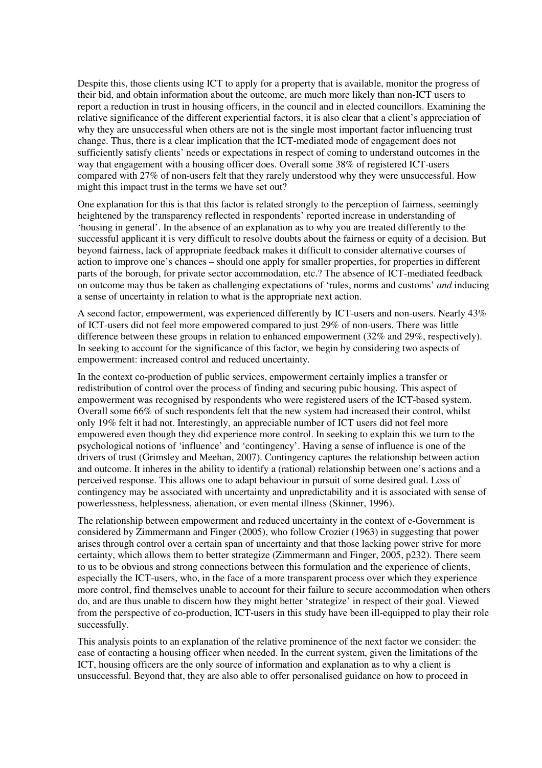Despite this, those clients using ICT to apply for a property that is available, monitor the progress of their bid, and obtain information about the outcome, are much more likely than non-ICT users to report a reduction in trust in housing officers, in the council and in elected councillors. Examining the relative significance of the different experiential factors, it is also clear that a client's appreciation of why they are unsuccessful when others are not is the single most important factor influencing trust change. Thus, there is a clear implication that the ICT-mediated mode of engagement does not sufficiently satisfy clients' needs or expectations in respect of coming to understand outcomes in the way that engagement with a housing officer does. Overall some 38% of registered ICT-users compared with 27% of non-users felt that they rarely understood why they were unsuccessful. How might this impact trust in the terms we have set out?

One explanation for this is that this factor is related strongly to the perception of fairness, seemingly heightened by the transparency reflected in respondents' reported increase in understanding of 'housing in general'. In the absence of an explanation as to why you are treated differently to the successful applicant it is very difficult to resolve doubts about the fairness or equity of a decision. But beyond fairness, lack of appropriate feedback makes it difficult to consider alternative courses of action to improve one's chances – should one apply for smaller properties, for properties in different parts of the borough, for private sector accommodation, etc.? The absence of ICT-mediated feedback on outcome may thus be taken as challenging expectations of 'rules, norms and customs' *and* inducing a sense of uncertainty in relation to what is the appropriate next action.

A second factor, empowerment, was experienced differently by ICT-users and non-users. Nearly 43% of ICT-users did not feel more empowered compared to just 29% of non-users. There was little difference between these groups in relation to enhanced empowerment (32% and 29%, respectively). In seeking to account for the significance of this factor, we begin by considering two aspects of empowerment: increased control and reduced uncertainty.

In the context co-production of public services, empowerment certainly implies a transfer or redistribution of control over the process of finding and securing pubic housing. This aspect of empowerment was recognised by respondents who were registered users of the ICT-based system. Overall some 66% of such respondents felt that the new system had increased their control, whilst only 19% felt it had not. Interestingly, an appreciable number of ICT users did not feel more empowered even though they did experience more control. In seeking to explain this we turn to the psychological notions of 'influence' and 'contingency'. Having a sense of influence is one of the drivers of trust (Grimsley and Meehan, 2007). Contingency captures the relationship between action and outcome. It inheres in the ability to identify a (rational) relationship between one's actions and a perceived response. This allows one to adapt behaviour in pursuit of some desired goal. Loss of contingency may be associated with uncertainty and unpredictability and it is associated with sense of powerlessness, helplessness, alienation, or even mental illness (Skinner, 1996).

The relationship between empowerment and reduced uncertainty in the context of e-Government is considered by Zimmermann and Finger (2005), who follow Crozier (1963) in suggesting that power arises through control over a certain span of uncertainty and that those lacking power strive for more certainty, which allows them to better strategize (Zimmermann and Finger, 2005, p232). There seem to us to be obvious and strong connections between this formulation and the experience of clients, especially the ICT-users, who, in the face of a more transparent process over which they experience more control, find themselves unable to account for their failure to secure accommodation when others do, and are thus unable to discern how they might better 'strategize' in respect of their goal. Viewed from the perspective of co-production, ICT-users in this study have been ill-equipped to play their role successfully.

This analysis points to an explanation of the relative prominence of the next factor we consider: the ease of contacting a housing officer when needed. In the current system, given the limitations of the ICT, housing officers are the only source of information and explanation as to why a client is unsuccessful. Beyond that, they are also able to offer personalised guidance on how to proceed in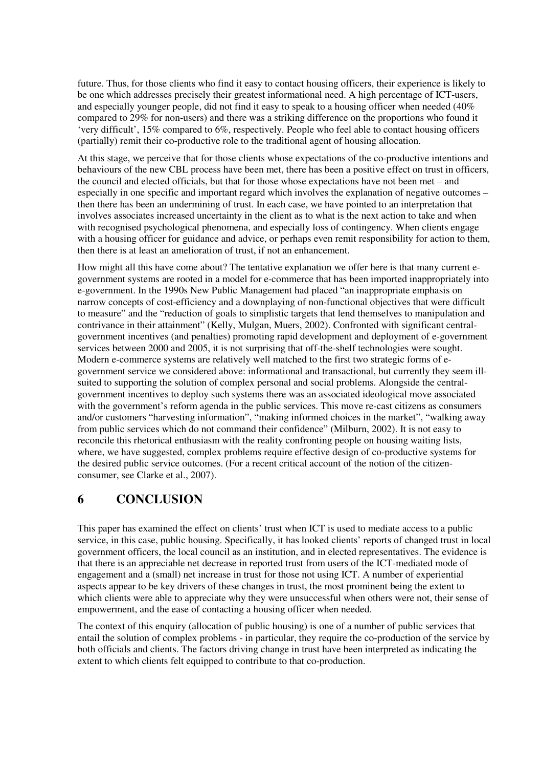future. Thus, for those clients who find it easy to contact housing officers, their experience is likely to be one which addresses precisely their greatest informational need. A high percentage of ICT-users, and especially younger people, did not find it easy to speak to a housing officer when needed (40% compared to 29% for non-users) and there was a striking difference on the proportions who found it 'very difficult', 15% compared to 6%, respectively. People who feel able to contact housing officers (partially) remit their co-productive role to the traditional agent of housing allocation.

At this stage, we perceive that for those clients whose expectations of the co-productive intentions and behaviours of the new CBL process have been met, there has been a positive effect on trust in officers, the council and elected officials, but that for those whose expectations have not been met – and especially in one specific and important regard which involves the explanation of negative outcomes – then there has been an undermining of trust. In each case, we have pointed to an interpretation that involves associates increased uncertainty in the client as to what is the next action to take and when with recognised psychological phenomena, and especially loss of contingency. When clients engage with a housing officer for guidance and advice, or perhaps even remit responsibility for action to them, then there is at least an amelioration of trust, if not an enhancement.

How might all this have come about? The tentative explanation we offer here is that many current egovernment systems are rooted in a model for e-commerce that has been imported inappropriately into e-government. In the 1990s New Public Management had placed "an inappropriate emphasis on narrow concepts of cost-efficiency and a downplaying of non-functional objectives that were difficult to measure" and the "reduction of goals to simplistic targets that lend themselves to manipulation and contrivance in their attainment" (Kelly, Mulgan, Muers, 2002). Confronted with significant centralgovernment incentives (and penalties) promoting rapid development and deployment of e-government services between 2000 and 2005, it is not surprising that off-the-shelf technologies were sought. Modern e-commerce systems are relatively well matched to the first two strategic forms of egovernment service we considered above: informational and transactional, but currently they seem illsuited to supporting the solution of complex personal and social problems. Alongside the centralgovernment incentives to deploy such systems there was an associated ideological move associated with the government's reform agenda in the public services. This move re-cast citizens as consumers and/or customers "harvesting information", "making informed choices in the market", "walking away from public services which do not command their confidence" (Milburn, 2002). It is not easy to reconcile this rhetorical enthusiasm with the reality confronting people on housing waiting lists, where, we have suggested, complex problems require effective design of co-productive systems for the desired public service outcomes. (For a recent critical account of the notion of the citizenconsumer, see Clarke et al., 2007).

### **6 CONCLUSION**

This paper has examined the effect on clients' trust when ICT is used to mediate access to a public service, in this case, public housing. Specifically, it has looked clients' reports of changed trust in local government officers, the local council as an institution, and in elected representatives. The evidence is that there is an appreciable net decrease in reported trust from users of the ICT-mediated mode of engagement and a (small) net increase in trust for those not using ICT. A number of experiential aspects appear to be key drivers of these changes in trust, the most prominent being the extent to which clients were able to appreciate why they were unsuccessful when others were not, their sense of empowerment, and the ease of contacting a housing officer when needed.

The context of this enquiry (allocation of public housing) is one of a number of public services that entail the solution of complex problems - in particular, they require the co-production of the service by both officials and clients. The factors driving change in trust have been interpreted as indicating the extent to which clients felt equipped to contribute to that co-production.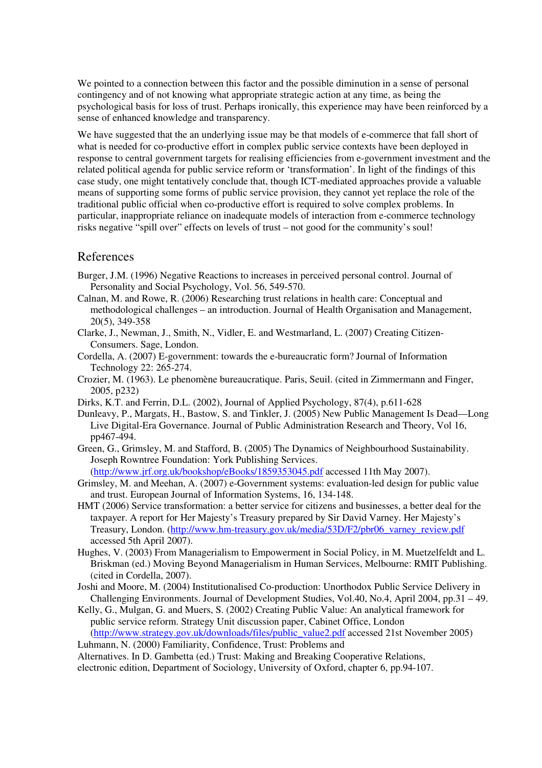We pointed to a connection between this factor and the possible diminution in a sense of personal contingency and of not knowing what appropriate strategic action at any time, as being the psychological basis for loss of trust. Perhaps ironically, this experience may have been reinforced by a sense of enhanced knowledge and transparency.

We have suggested that the an underlying issue may be that models of e-commerce that fall short of what is needed for co-productive effort in complex public service contexts have been deployed in response to central government targets for realising efficiencies from e-government investment and the related political agenda for public service reform or 'transformation'. In light of the findings of this case study, one might tentatively conclude that, though ICT-mediated approaches provide a valuable means of supporting some forms of public service provision, they cannot yet replace the role of the traditional public official when co-productive effort is required to solve complex problems. In particular, inappropriate reliance on inadequate models of interaction from e-commerce technology risks negative "spill over" effects on levels of trust – not good for the community's soul!

### References

- Burger, J.M. (1996) Negative Reactions to increases in perceived personal control. Journal of Personality and Social Psychology, Vol. 56, 549-570.
- Calnan, M. and Rowe, R. (2006) Researching trust relations in health care: Conceptual and methodological challenges – an introduction. Journal of Health Organisation and Management, 20(5), 349-358
- Clarke, J., Newman, J., Smith, N., Vidler, E. and Westmarland, L. (2007) Creating Citizen-Consumers. Sage, London.
- Cordella, A. (2007) E-government: towards the e-bureaucratic form? Journal of Information Technology 22: 265-274.
- Crozier, M. (1963). Le phenomène bureaucratique. Paris, Seuil. (cited in Zimmermann and Finger, 2005, p232)
- Dirks, K.T. and Ferrin, D.L. (2002), Journal of Applied Psychology, 87(4), p.611-628
- Dunleavy, P., Margats, H., Bastow, S. and Tinkler, J. (2005) New Public Management Is Dead—Long Live Digital-Era Governance. Journal of Public Administration Research and Theory, Vol 16, pp467-494.
- Green, G., Grimsley, M. and Stafford, B. (2005) The Dynamics of Neighbourhood Sustainability. Joseph Rowntree Foundation: York Publishing Services. (<http://www.jrf.org.uk/bookshop/eBooks/1859353045.pdf> accessed 11th May 2007).
- Grimsley, M. and Meehan, A. (2007) e-Government systems: evaluation-led design for public value and trust. European Journal of Information Systems, 16, 134-148.
- HMT (2006) Service transformation: a better service for citizens and businesses, a better deal for the taxpayer. A report for Her Majesty's Treasury prepared by Sir David Varney. Her Majesty's Treasury, London. [\(http://www.hm-treasury.gov.uk/media/53D/F2/pbr06\\_varney\\_review.pdf](http://www.hm-treasury.gov.uk/media/53D/F2/pbr06_varney_review.pdf) accessed 5th April 2007).
- Hughes, V. (2003) From Managerialism to Empowerment in Social Policy, in M. Muetzelfeldt and L. Briskman (ed.) Moving Beyond Managerialism in Human Services, Melbourne: RMIT Publishing. (cited in Cordella, 2007).
- Joshi and Moore, M. (2004) Institutionalised Co-production: Unorthodox Public Service Delivery in Challenging Environments. Journal of Development Studies, Vol.40, No.4, April 2004, pp.31 – 49.
- Kelly, G., Mulgan, G. and Muers, S. (2002) Creating Public Value: An analytical framework for public service reform. Strategy Unit discussion paper, Cabinet Office, London ([http://www.strategy.gov.uk/downloads/files/public\\_value2.pdf](http://www.strategy.gov.uk/downloads/files/public_value2.pdf) accessed 21st November 2005)

Luhmann, N. (2000) Familiarity, Confidence, Trust: Problems and Alternatives. In D. Gambetta (ed.) Trust: Making and Breaking Cooperative Relations,

electronic edition, Department of Sociology, University of Oxford, chapter 6, pp.94-107.